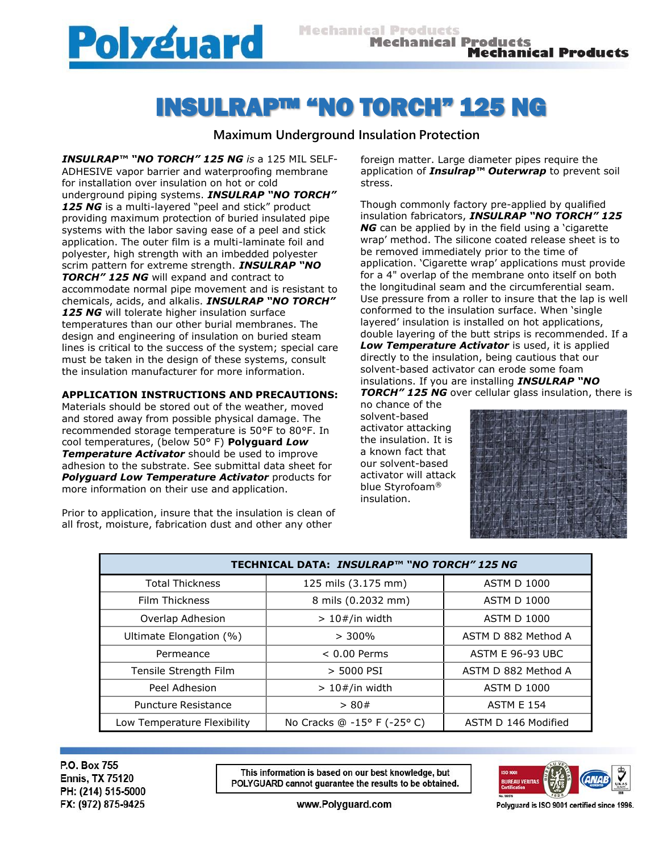

## INSULRAP™ "NO TORCH" 125 NG

## **Maximum Underground Insulation Protection**

*INSULRAP™ "NO TORCH" 125 NG is* a 125 MIL SELF-ADHESIVE vapor barrier and waterproofing membrane for installation over insulation on hot or cold underground piping systems. *INSULRAP "NO TORCH"*  125 NG is a multi-layered "peel and stick" product providing maximum protection of buried insulated pipe systems with the labor saving ease of a peel and stick application. The outer film is a multi-laminate foil and polyester, high strength with an imbedded polyester scrim pattern for extreme strength. *INSULRAP "NO TORCH" 125 NG* will expand and contract to accommodate normal pipe movement and is resistant to chemicals, acids, and alkalis. *INSULRAP "NO TORCH"*  125 NG will tolerate higher insulation surface temperatures than our other burial membranes. The design and engineering of insulation on buried steam lines is critical to the success of the system; special care must be taken in the design of these systems, consult the insulation manufacturer for more information.

## **APPLICATION INSTRUCTIONS AND PRECAUTIONS:**

Materials should be stored out of the weather, moved and stored away from possible physical damage. The recommended storage temperature is 50°F to 80°F. In cool temperatures, (below 50° F) **Polyguard** *Low Temperature Activator* should be used to improve adhesion to the substrate. See submittal data sheet for **Polyguard Low Temperature Activator** products for more information on their use and application.

Prior to application, insure that the insulation is clean of all frost, moisture, fabrication dust and other any other

foreign matter. Large diameter pipes require the application of *Insulrap™ Outerwrap* to prevent soil stress.

Though commonly factory pre-applied by qualified insulation fabricators, *INSULRAP "NO TORCH" 125 NG* can be applied by in the field using a 'cigarette wrap' method. The silicone coated release sheet is to be removed immediately prior to the time of application. 'Cigarette wrap' applications must provide for a 4" overlap of the membrane onto itself on both the longitudinal seam and the circumferential seam. Use pressure from a roller to insure that the lap is well conformed to the insulation surface. When 'single layered' insulation is installed on hot applications, double layering of the butt strips is recommended. If a *Low Temperature Activator* is used, it is applied directly to the insulation, being cautious that our solvent-based activator can erode some foam insulations. If you are installing *INSULRAP "NO TORCH" 125 NG* over cellular glass insulation, there is

no chance of the solvent-based activator attacking the insulation. It is a known fact that our solvent-based activator will attack blue Styrofoam® insulation.



| TECHNICAL DATA: INSULRAP™ "NO TORCH" 125 NG |                             |                         |  |
|---------------------------------------------|-----------------------------|-------------------------|--|
| <b>Total Thickness</b>                      | 125 mils (3.175 mm)         | <b>ASTM D 1000</b>      |  |
| <b>Film Thickness</b>                       | 8 mils (0.2032 mm)          | <b>ASTM D 1000</b>      |  |
| Overlap Adhesion                            | $>10#/in$ width             | <b>ASTM D 1000</b>      |  |
| Ultimate Elongation (%)                     | $> 300\%$                   | ASTM D 882 Method A     |  |
| Permeance                                   | $< 0.00$ Perms              | <b>ASTM E 96-93 UBC</b> |  |
| Tensile Strength Film                       | > 5000 PSI                  | ASTM D 882 Method A     |  |
| Peel Adhesion                               | $>10#/in$ width             | <b>ASTM D 1000</b>      |  |
| Puncture Resistance                         | > 80#                       | <b>ASTM E 154</b>       |  |
| Low Temperature Flexibility                 | No Cracks @ -15° F (-25° C) | ASTM D 146 Modified     |  |

P.O. Box 755 **Ennis, TX 75120** PH: (214) 515-5000 FX: (972) 875-9425

This information is based on our best knowledge, but POLYGUARD cannot guarantee the results to be obtained.



www.Polyguard.com

Polyguard is ISO 9001 certified since 1996.